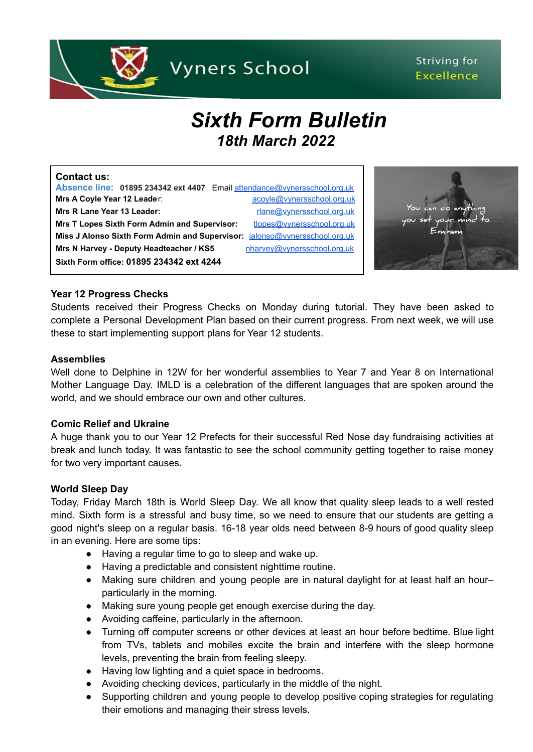

# Striving for **Excellence**

# *Sixth Form Bulletin 18th March 2022*

# **Contact us: Absence line: 01895 234342 ext 4407** Email [attendance@vynersschool.org.uk](mailto:attendance@vynersschool.org.uk) **Mrs A Coyle Year 12 Leader:** [acoyle@vynersschool.org.uk](mailto:acoyle@vynersschool.org.uk) **Mrs R Lane Year 13 Leader:** research and the research of the research of the research of the research of the research of the research of the research of the research of the research of the research of the research of the

**Mrs T Lopes Sixth Form Admin and Supervisor:** [tlopes@vynersschool.org.uk](mailto:tlopes@vynersschool.org.uk) **Miss J Alonso Sixth Form Admin and Supervisor:** [jalonso@vynersschool.org.uk](mailto:jalonso@vynersschool.org.uk) Mrs N Harvey - Deputy Headteacher / KS5 [nharvey@vynersschool.org.uk](mailto:nharvey@vynersschool.org.uk) **Sixth Form office: 01895 234342 ext 4244**



# **Year 12 Progress Checks**

Students received their Progress Checks on Monday during tutorial. They have been asked to complete a Personal Development Plan based on their current progress. From next week, we will use these to start implementing support plans for Year 12 students.

#### **Assemblies**

Well done to Delphine in 12W for her wonderful assemblies to Year 7 and Year 8 on International Mother Language Day. IMLD is a celebration of the different languages that are spoken around the world, and we should embrace our own and other cultures.

# **Comic Relief and Ukraine**

A huge thank you to our Year 12 Prefects for their successful Red Nose day fundraising activities at break and lunch today. It was fantastic to see the school community getting together to raise money for two very important causes.

# **World Sleep Day**

Today, Friday March 18th is World Sleep Day. We all know that quality sleep leads to a well rested mind. Sixth form is a stressful and busy time, so we need to ensure that our students are getting a good night's sleep on a regular basis. 16-18 year olds need between 8-9 hours of good quality sleep in an evening. Here are some tips:

- Having a regular time to go to sleep and wake up.
- Having a predictable and consistent nighttime routine.
- Making sure children and young people are in natural daylight for at least half an hour– particularly in the morning.
- Making sure young people get enough exercise during the day.
- Avoiding caffeine, particularly in the afternoon.
- Turning off computer screens or other devices at least an hour before bedtime. Blue light from TVs, tablets and mobiles excite the brain and interfere with the sleep hormone levels, preventing the brain from feeling sleepy.
- Having low lighting and a quiet space in bedrooms.
- Avoiding checking devices, particularly in the middle of the night.
- Supporting children and young people to develop positive coping strategies for regulating their emotions and managing their stress levels.